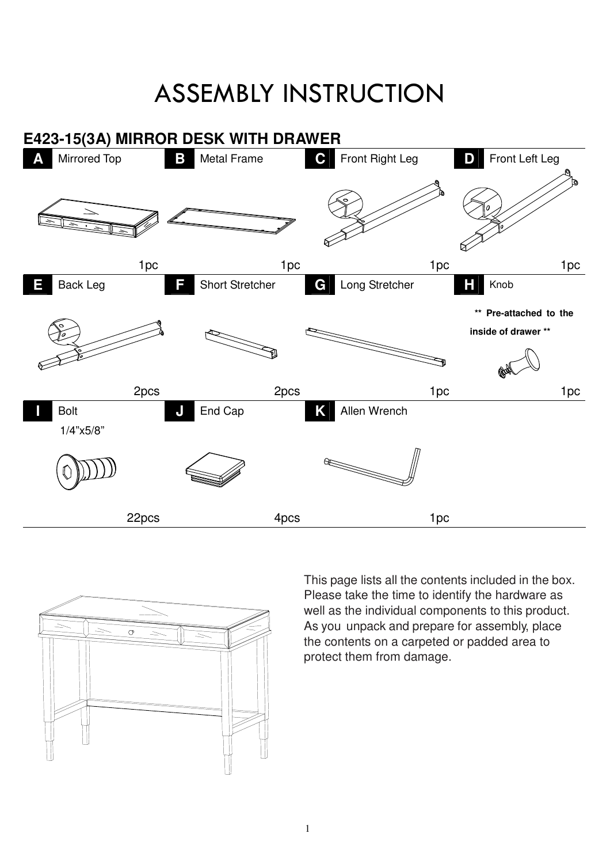## ASSEMBLY INSTRUCTION





well as the individual components to this product. This page lists all the contents included in the box. Please take the time to identify the hardware as As you unpack and prepare for assembly, place the contents on a carpeted or padded area to protect them from damage.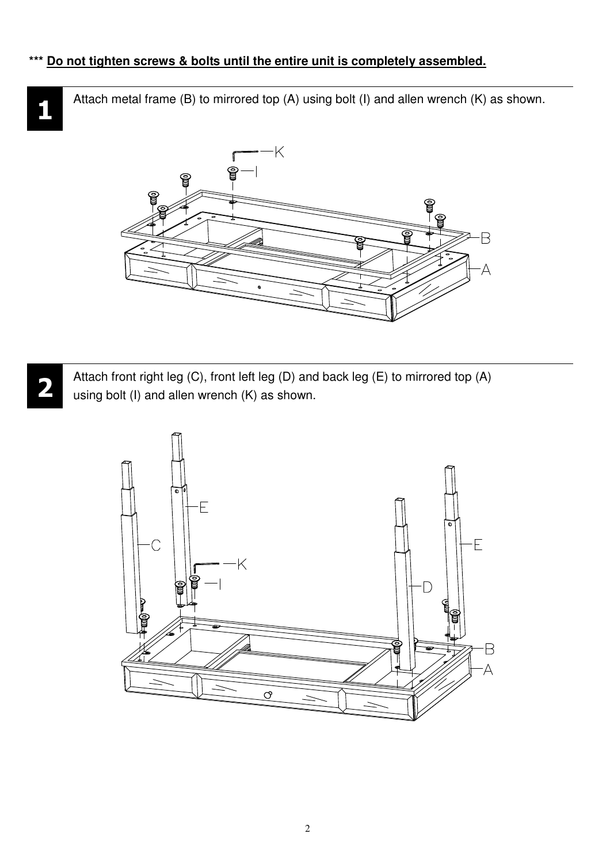## **\*\*\* Do not tighten screws & bolts until the entire unit is completely assembled.**

Attach metal frame (B) to mirrored top (A) using bolt (I) and allen wrench (K) as shown.





**1**

Attach front right leg (C), front left leg (D) and back leg (E) to mirrored top (A) using bolt (I) and allen wrench (K) as shown.